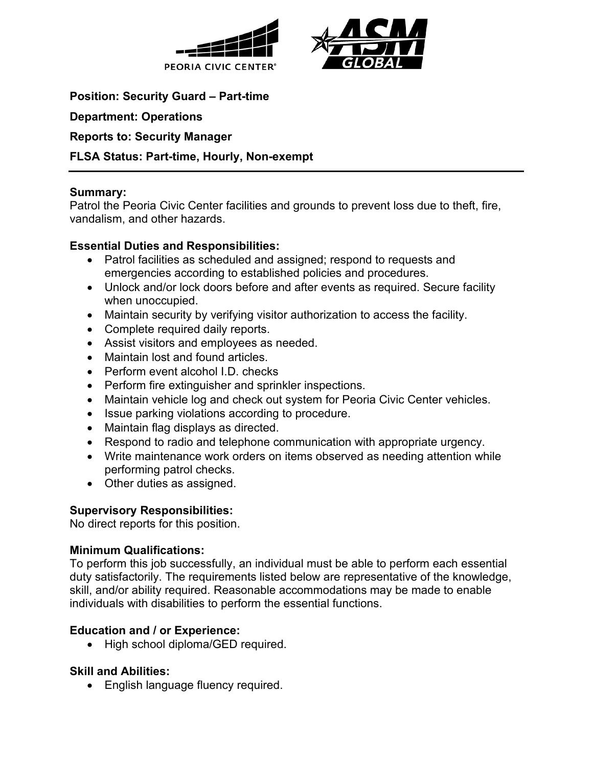



**Position: Security Guard – Part-time**

**Department: Operations**

#### **Reports to: Security Manager**

#### **FLSA Status: Part-time, Hourly, Non-exempt**

#### **Summary:**

Patrol the Peoria Civic Center facilities and grounds to prevent loss due to theft, fire, vandalism, and other hazards.

# **Essential Duties and Responsibilities:**

- Patrol facilities as scheduled and assigned; respond to requests and emergencies according to established policies and procedures.
- Unlock and/or lock doors before and after events as required. Secure facility when unoccupied.
- Maintain security by verifying visitor authorization to access the facility.
- Complete required daily reports.
- Assist visitors and employees as needed.
- Maintain lost and found articles.
- Perform event alcohol  $ID$  checks
- Perform fire extinguisher and sprinkler inspections.
- Maintain vehicle log and check out system for Peoria Civic Center vehicles.
- Issue parking violations according to procedure.
- Maintain flag displays as directed.
- Respond to radio and telephone communication with appropriate urgency.
- Write maintenance work orders on items observed as needing attention while performing patrol checks.
- Other duties as assigned.

# **Supervisory Responsibilities:**

No direct reports for this position.

# **Minimum Qualifications:**

To perform this job successfully, an individual must be able to perform each essential duty satisfactorily. The requirements listed below are representative of the knowledge, skill, and/or ability required. Reasonable accommodations may be made to enable individuals with disabilities to perform the essential functions.

# **Education and / or Experience:**

• High school diploma/GED required.

# **Skill and Abilities:**

• English language fluency required.